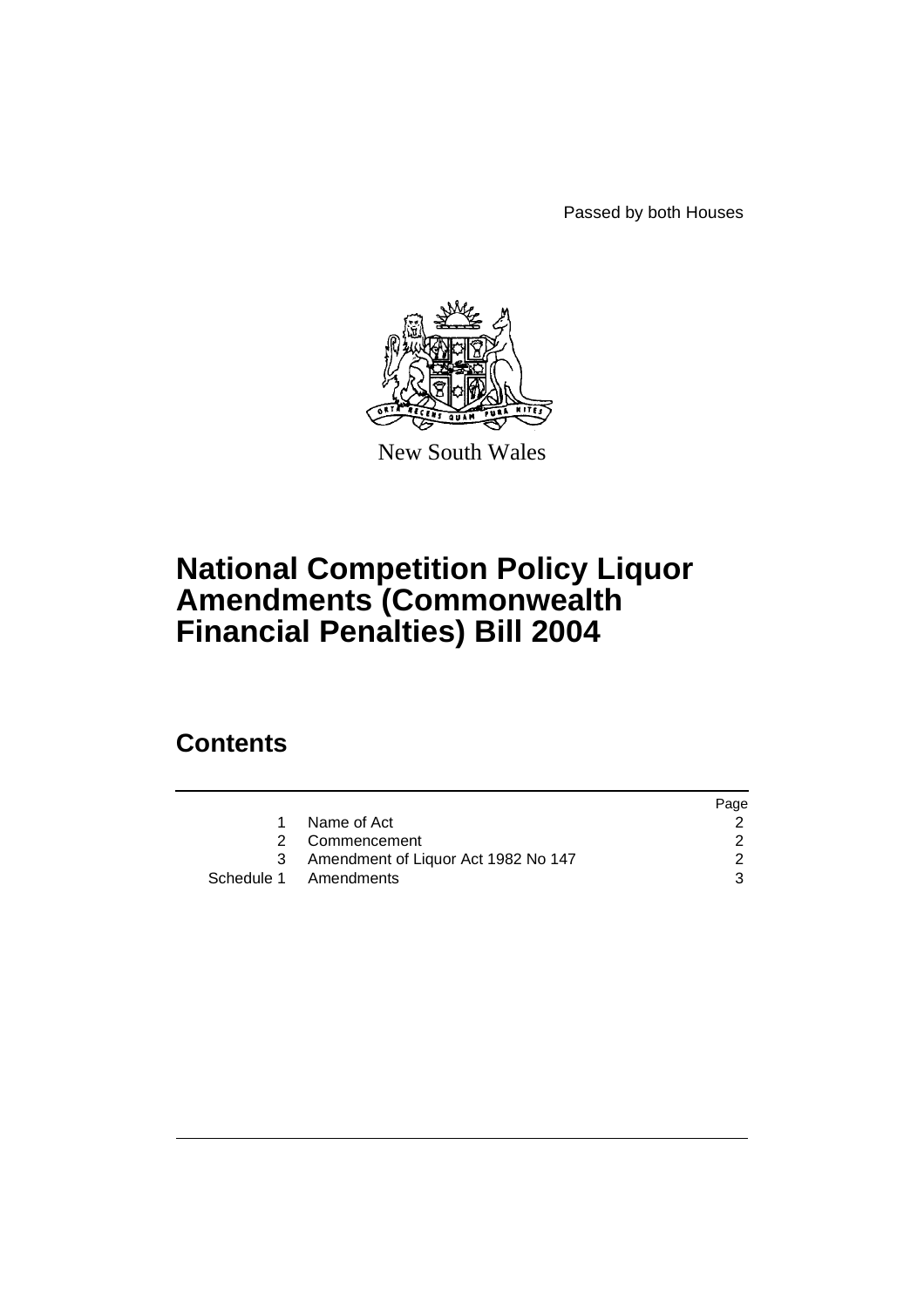Passed by both Houses



New South Wales

# **National Competition Policy Liquor Amendments (Commonwealth Financial Penalties) Bill 2004**

## **Contents**

|                                     | Page |
|-------------------------------------|------|
| Name of Act                         |      |
| 2 Commencement                      |      |
| Amendment of Liquor Act 1982 No 147 |      |
| Schedule 1 Amendments               |      |
|                                     |      |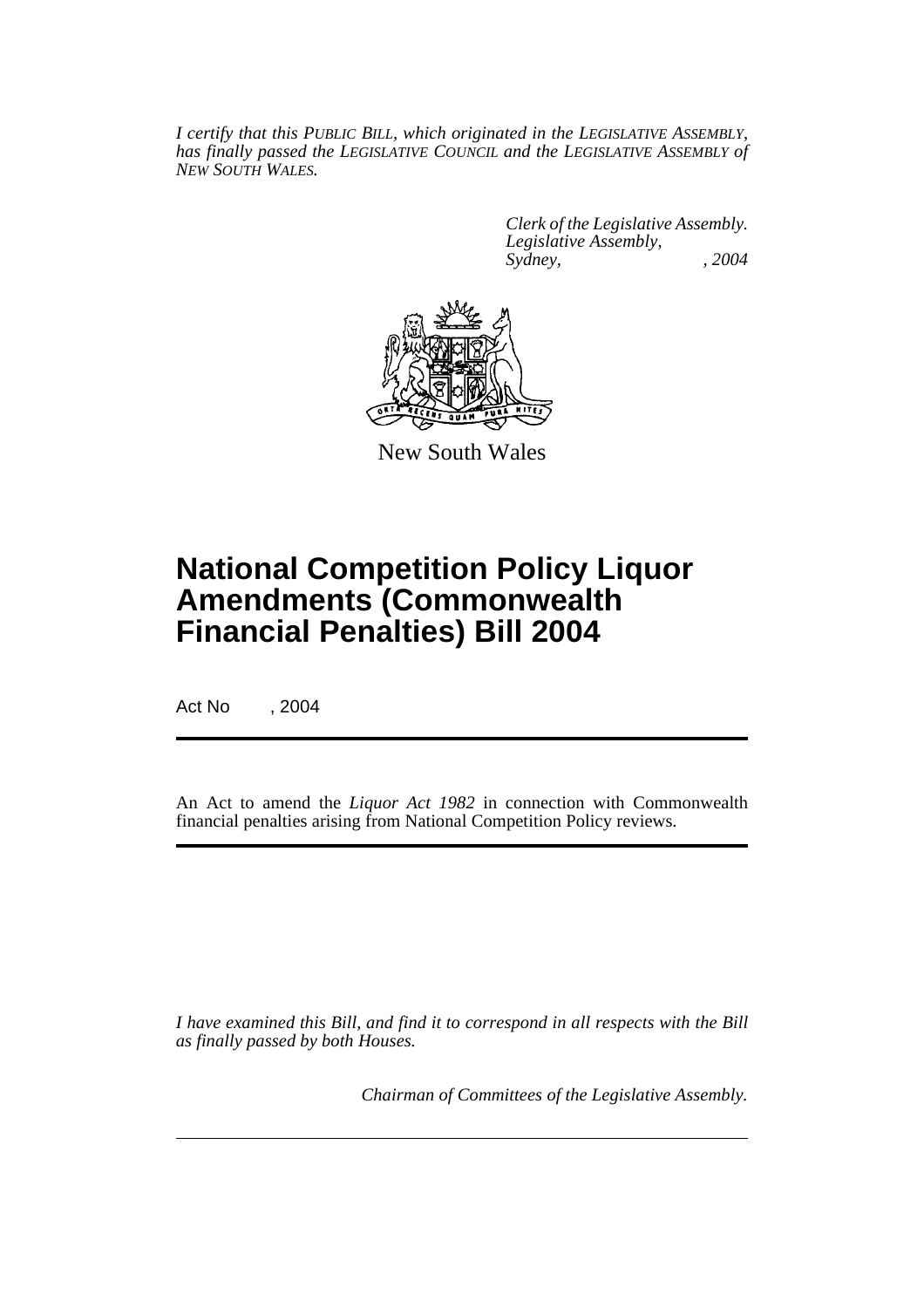*I certify that this PUBLIC BILL, which originated in the LEGISLATIVE ASSEMBLY, has finally passed the LEGISLATIVE COUNCIL and the LEGISLATIVE ASSEMBLY of NEW SOUTH WALES.*

> *Clerk of the Legislative Assembly. Legislative Assembly, Sydney, , 2004*



New South Wales

## **National Competition Policy Liquor Amendments (Commonwealth Financial Penalties) Bill 2004**

Act No , 2004

An Act to amend the *Liquor Act 1982* in connection with Commonwealth financial penalties arising from National Competition Policy reviews.

*I have examined this Bill, and find it to correspond in all respects with the Bill as finally passed by both Houses.*

*Chairman of Committees of the Legislative Assembly.*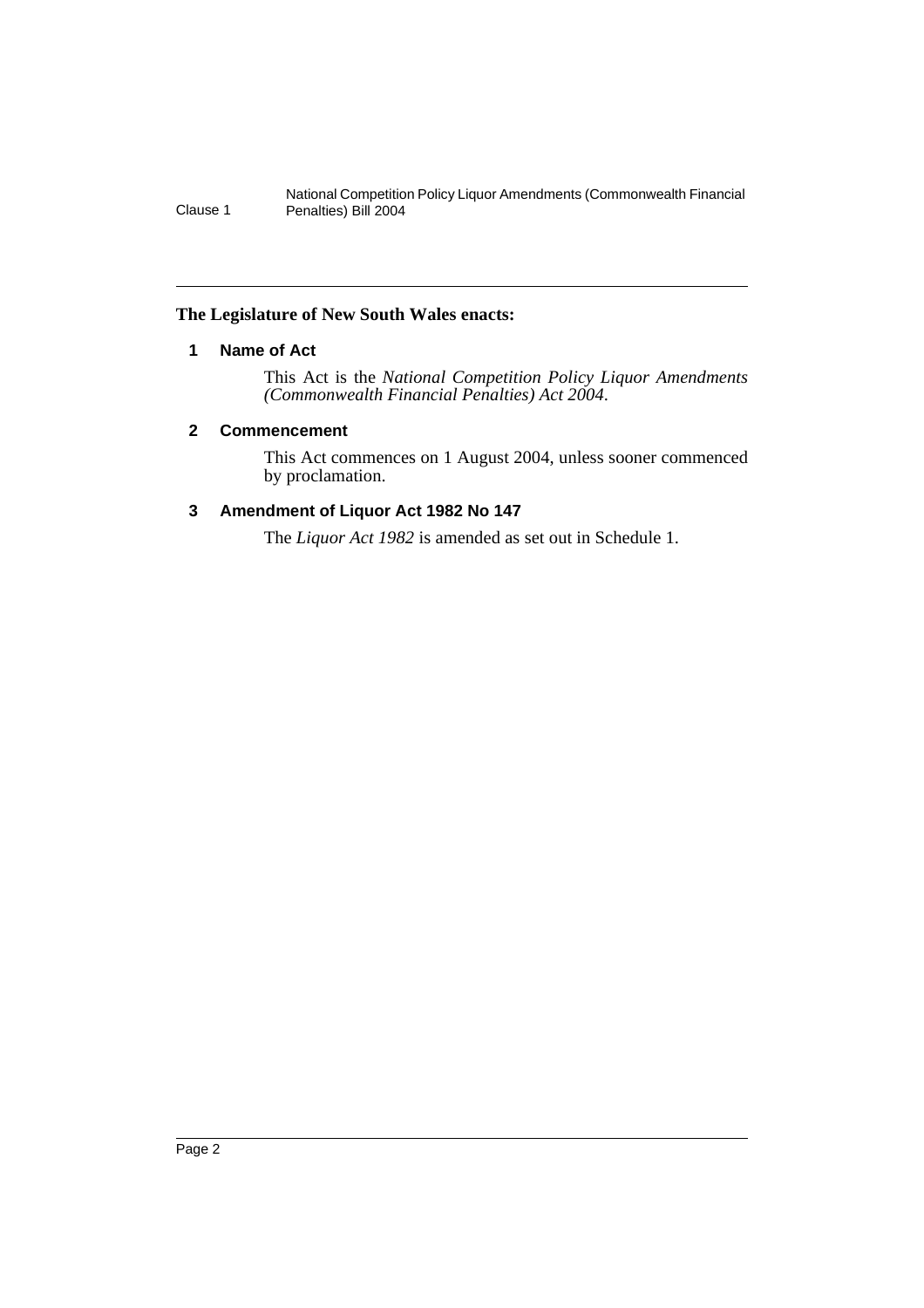#### **The Legislature of New South Wales enacts:**

## **1 Name of Act**

This Act is the *National Competition Policy Liquor Amendments (Commonwealth Financial Penalties) Act 2004*.

#### **2 Commencement**

This Act commences on 1 August 2004, unless sooner commenced by proclamation.

### **3 Amendment of Liquor Act 1982 No 147**

The *Liquor Act 1982* is amended as set out in Schedule 1.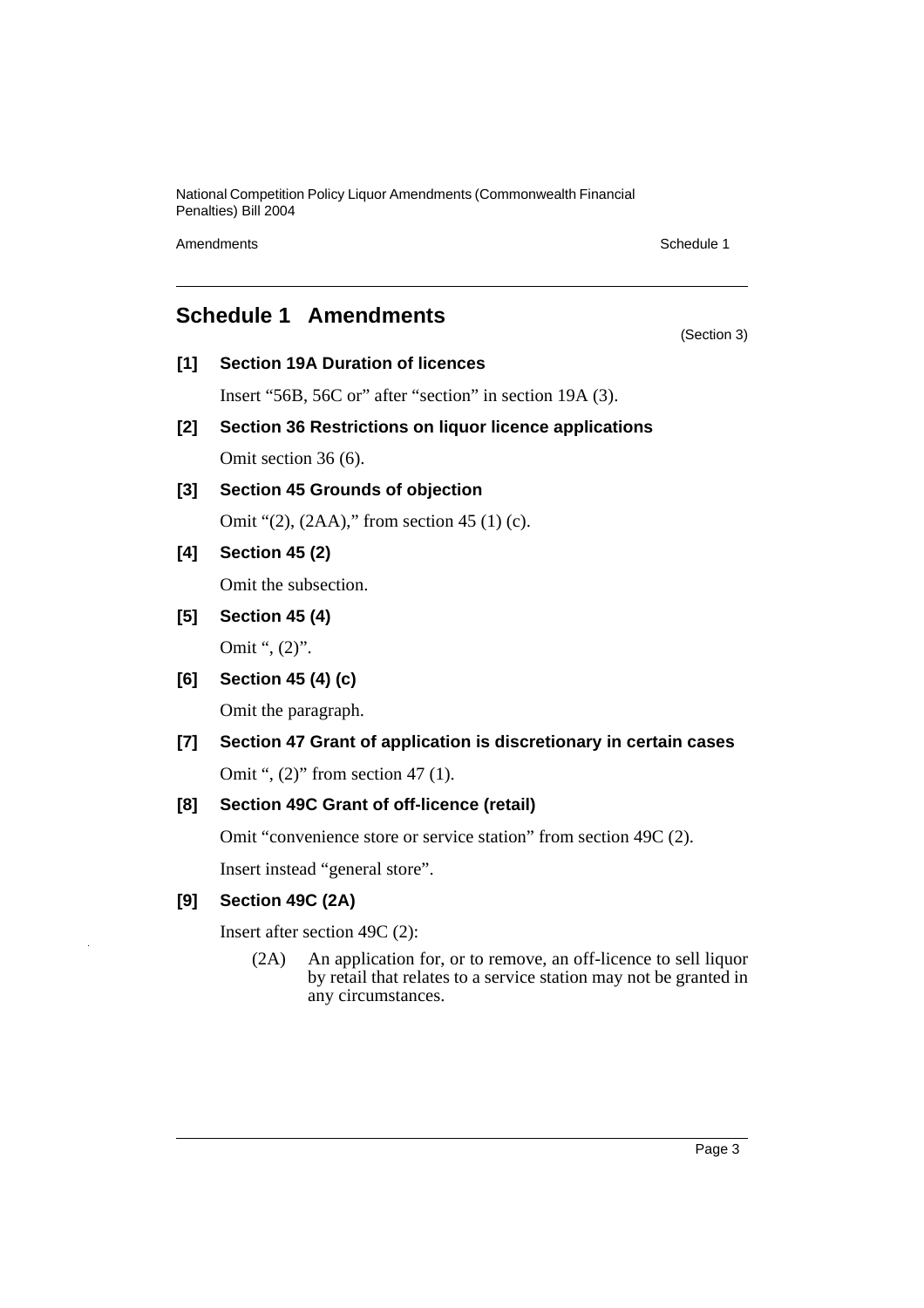Amendments **Schedule 1** and the set of the set of the set of the set of the set of the set of the set of the set of the set of the set of the set of the set of the set of the set of the set of the set of the set of the set

(Section 3)

## **Schedule 1 Amendments**

**[1] Section 19A Duration of licences**

Insert "56B, 56C or" after "section" in section 19A (3).

- **[2] Section 36 Restrictions on liquor licence applications** Omit section 36 (6).
- **[3] Section 45 Grounds of objection**

Omit "(2), (2AA)," from section 45 (1) (c).

## **[4] Section 45 (2)**

Omit the subsection.

**[5] Section 45 (4)**

Omit ", (2)".

**[6] Section 45 (4) (c)**

Omit the paragraph.

# **[7] Section 47 Grant of application is discretionary in certain cases**

Omit ", (2)" from section 47 (1).

### **[8] Section 49C Grant of off-licence (retail)**

Omit "convenience store or service station" from section 49C (2).

Insert instead "general store".

## **[9] Section 49C (2A)**

Insert after section 49C (2):

(2A) An application for, or to remove, an off-licence to sell liquor by retail that relates to a service station may not be granted in any circumstances.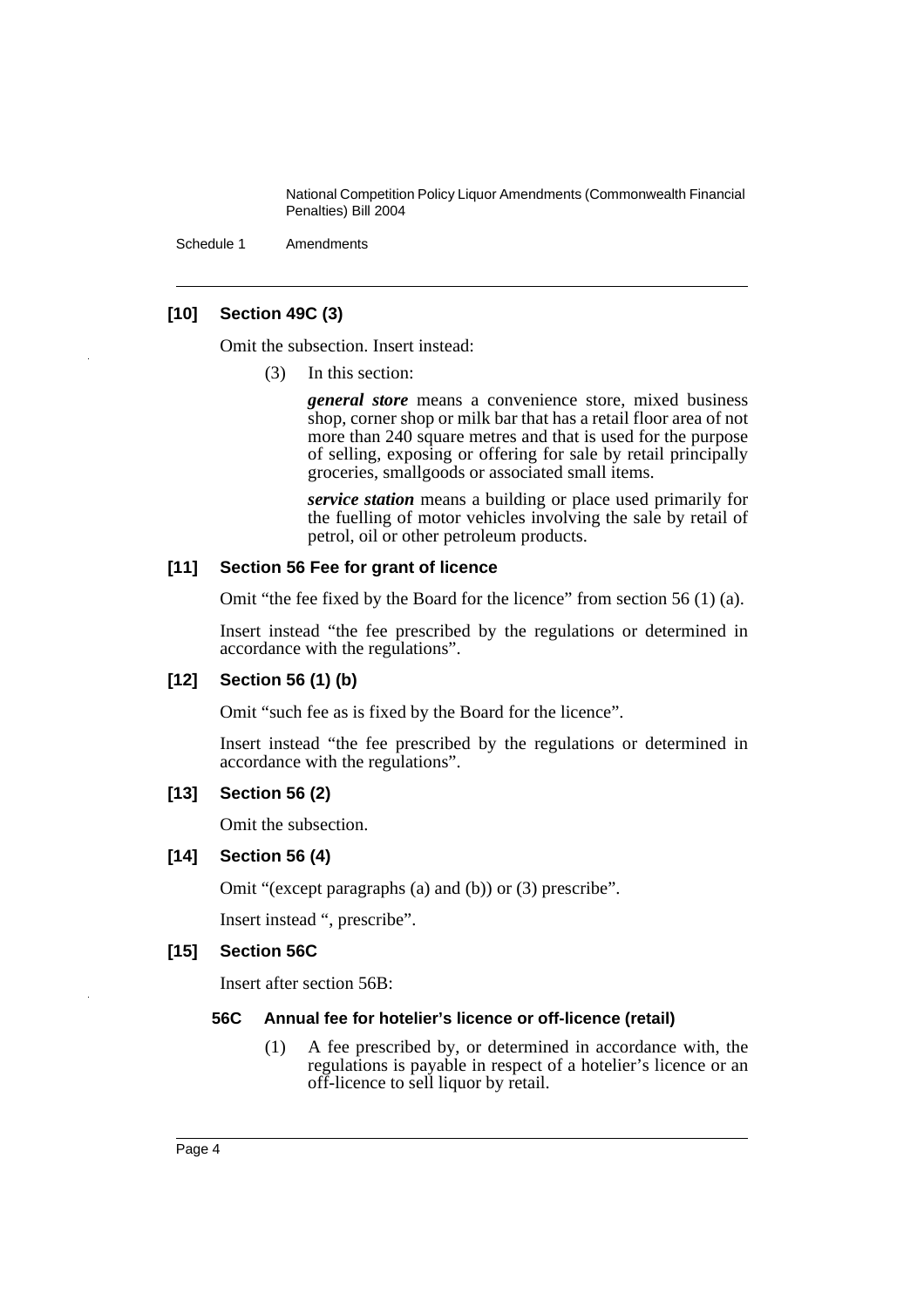Schedule 1 Amendments

#### **[10] Section 49C (3)**

Omit the subsection. Insert instead:

(3) In this section:

*general store* means a convenience store, mixed business shop, corner shop or milk bar that has a retail floor area of not more than 240 square metres and that is used for the purpose of selling, exposing or offering for sale by retail principally groceries, smallgoods or associated small items.

*service station* means a building or place used primarily for the fuelling of motor vehicles involving the sale by retail of petrol, oil or other petroleum products.

#### **[11] Section 56 Fee for grant of licence**

Omit "the fee fixed by the Board for the licence" from section 56 (1) (a).

Insert instead "the fee prescribed by the regulations or determined in accordance with the regulations".

#### **[12] Section 56 (1) (b)**

Omit "such fee as is fixed by the Board for the licence".

Insert instead "the fee prescribed by the regulations or determined in accordance with the regulations".

#### **[13] Section 56 (2)**

Omit the subsection.

#### **[14] Section 56 (4)**

Omit "(except paragraphs (a) and (b)) or (3) prescribe".

Insert instead ", prescribe".

#### **[15] Section 56C**

Insert after section 56B:

#### **56C Annual fee for hotelier's licence or off-licence (retail)**

(1) A fee prescribed by, or determined in accordance with, the regulations is payable in respect of a hotelier's licence or an off-licence to sell liquor by retail.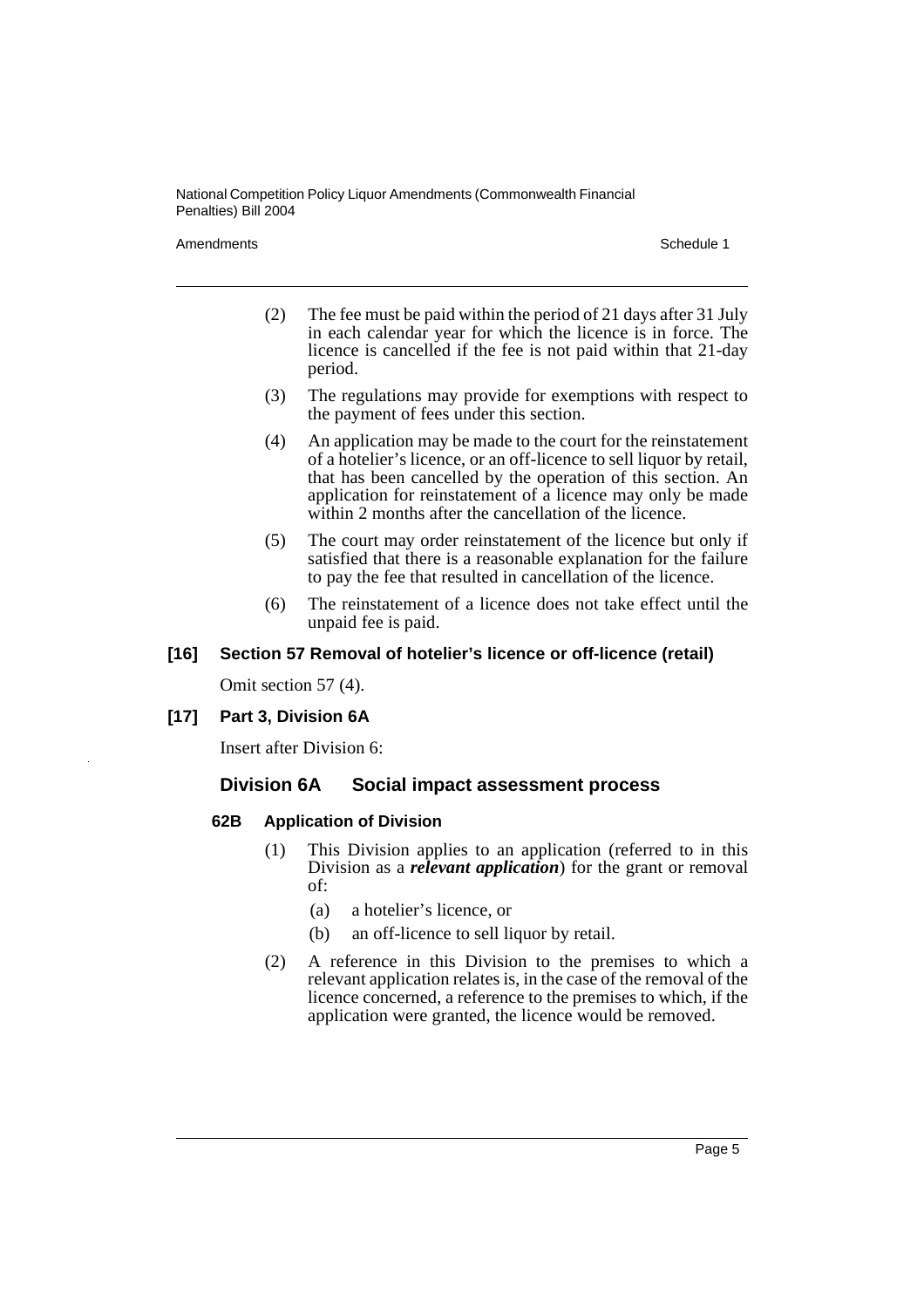Amendments **Schedule 1** and the set of the set of the set of the set of the set of the set of the set of the set of the set of the set of the set of the set of the set of the set of the set of the set of the set of the set

- (2) The fee must be paid within the period of 21 days after 31 July in each calendar year for which the licence is in force. The licence is cancelled if the fee is not paid within that 21-day period.
- (3) The regulations may provide for exemptions with respect to the payment of fees under this section.
- (4) An application may be made to the court for the reinstatement of a hotelier's licence, or an off-licence to sell liquor by retail, that has been cancelled by the operation of this section. An application for reinstatement of a licence may only be made within 2 months after the cancellation of the licence.
- (5) The court may order reinstatement of the licence but only if satisfied that there is a reasonable explanation for the failure to pay the fee that resulted in cancellation of the licence.
- (6) The reinstatement of a licence does not take effect until the unpaid fee is paid.

#### **[16] Section 57 Removal of hotelier's licence or off-licence (retail)**

Omit section 57 (4).

#### **[17] Part 3, Division 6A**

Insert after Division 6:

### **Division 6A Social impact assessment process**

#### **62B Application of Division**

- (1) This Division applies to an application (referred to in this Division as a *relevant application*) for the grant or removal of:
	- (a) a hotelier's licence, or
	- (b) an off-licence to sell liquor by retail.
- (2) A reference in this Division to the premises to which a relevant application relates is, in the case of the removal of the licence concerned, a reference to the premises to which, if the application were granted, the licence would be removed.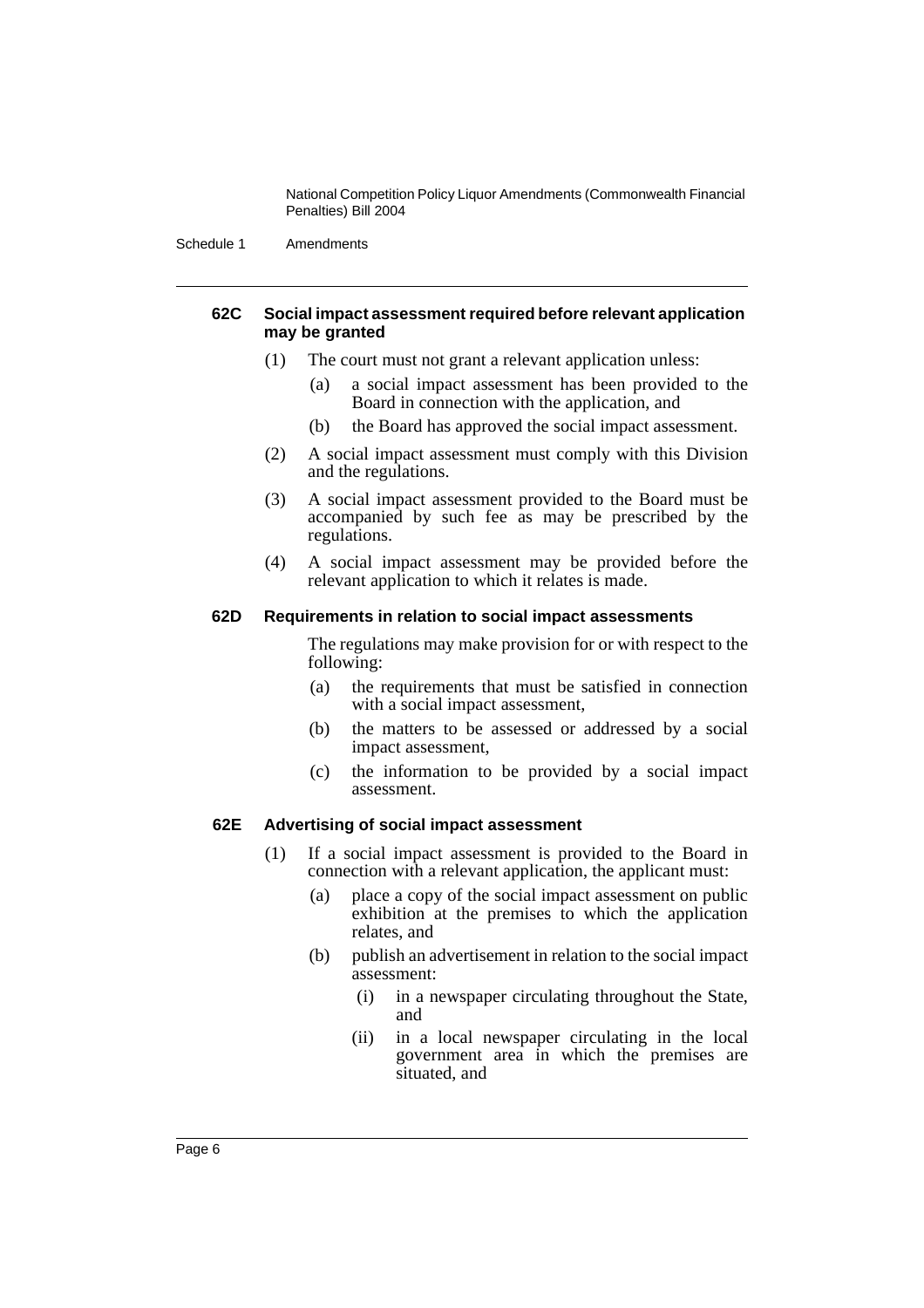Schedule 1 Amendments

#### **62C Social impact assessment required before relevant application may be granted**

- (1) The court must not grant a relevant application unless:
	- (a) a social impact assessment has been provided to the Board in connection with the application, and
	- (b) the Board has approved the social impact assessment.
- (2) A social impact assessment must comply with this Division and the regulations.
- (3) A social impact assessment provided to the Board must be accompanied by such fee as may be prescribed by the regulations.
- (4) A social impact assessment may be provided before the relevant application to which it relates is made.

#### **62D Requirements in relation to social impact assessments**

The regulations may make provision for or with respect to the following:

- (a) the requirements that must be satisfied in connection with a social impact assessment,
- (b) the matters to be assessed or addressed by a social impact assessment,
- (c) the information to be provided by a social impact assessment.

#### **62E Advertising of social impact assessment**

- (1) If a social impact assessment is provided to the Board in connection with a relevant application, the applicant must:
	- (a) place a copy of the social impact assessment on public exhibition at the premises to which the application relates, and
	- (b) publish an advertisement in relation to the social impact assessment:
		- (i) in a newspaper circulating throughout the State, and
		- (ii) in a local newspaper circulating in the local government area in which the premises are situated, and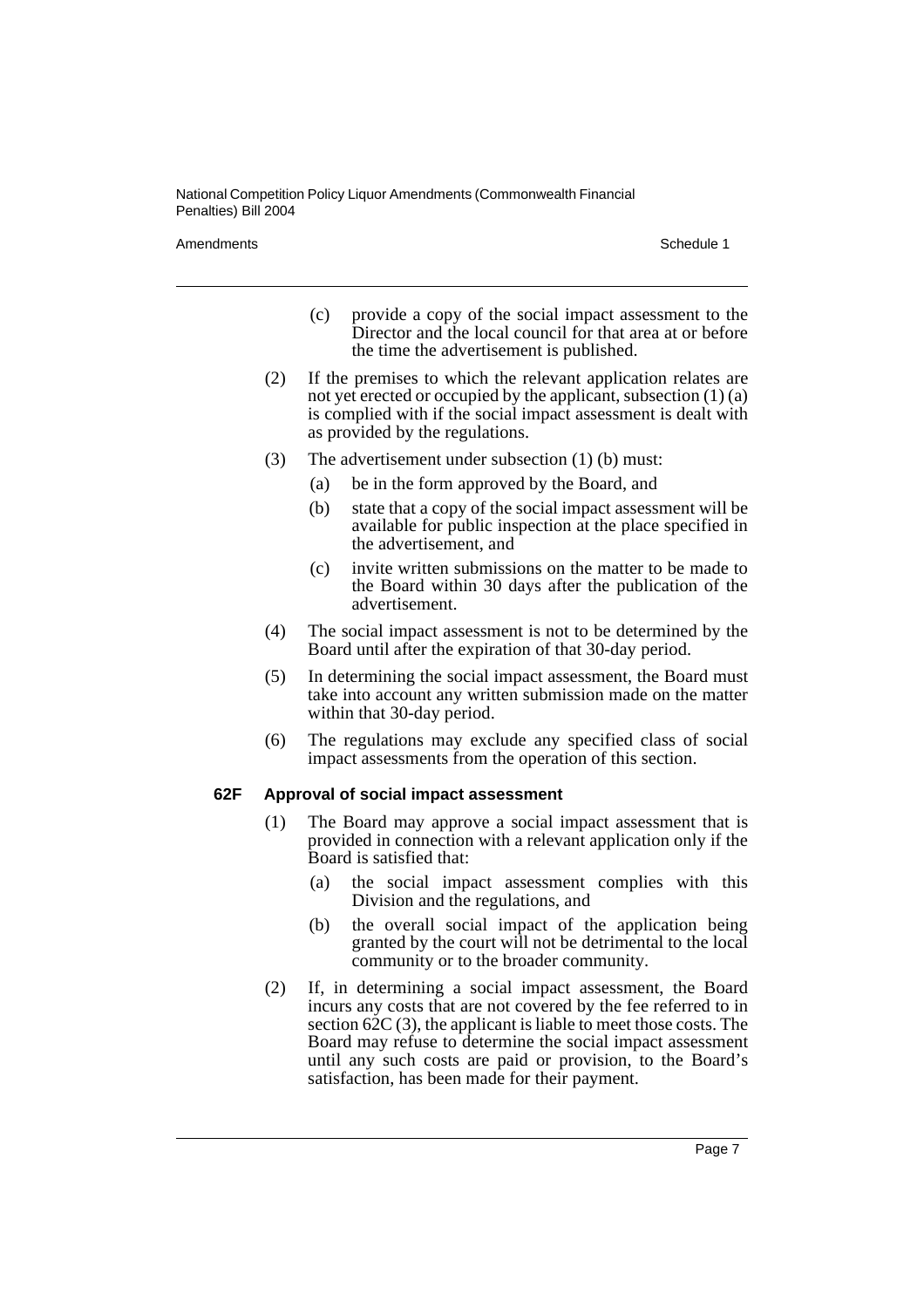Amendments and the set of the set of the set of the set of the set of the Schedule 1

- (c) provide a copy of the social impact assessment to the Director and the local council for that area at or before the time the advertisement is published.
- (2) If the premises to which the relevant application relates are not yet erected or occupied by the applicant, subsection (1) (a) is complied with if the social impact assessment is dealt with as provided by the regulations.
- (3) The advertisement under subsection (1) (b) must:
	- (a) be in the form approved by the Board, and
	- (b) state that a copy of the social impact assessment will be available for public inspection at the place specified in the advertisement, and
	- (c) invite written submissions on the matter to be made to the Board within 30 days after the publication of the advertisement.
- (4) The social impact assessment is not to be determined by the Board until after the expiration of that 30-day period.
- (5) In determining the social impact assessment, the Board must take into account any written submission made on the matter within that 30-day period.
- (6) The regulations may exclude any specified class of social impact assessments from the operation of this section.

#### **62F Approval of social impact assessment**

- (1) The Board may approve a social impact assessment that is provided in connection with a relevant application only if the Board is satisfied that:
	- (a) the social impact assessment complies with this Division and the regulations, and
	- (b) the overall social impact of the application being granted by the court will not be detrimental to the local community or to the broader community.
- (2) If, in determining a social impact assessment, the Board incurs any costs that are not covered by the fee referred to in section 62C (3), the applicant is liable to meet those costs. The Board may refuse to determine the social impact assessment until any such costs are paid or provision, to the Board's satisfaction, has been made for their payment.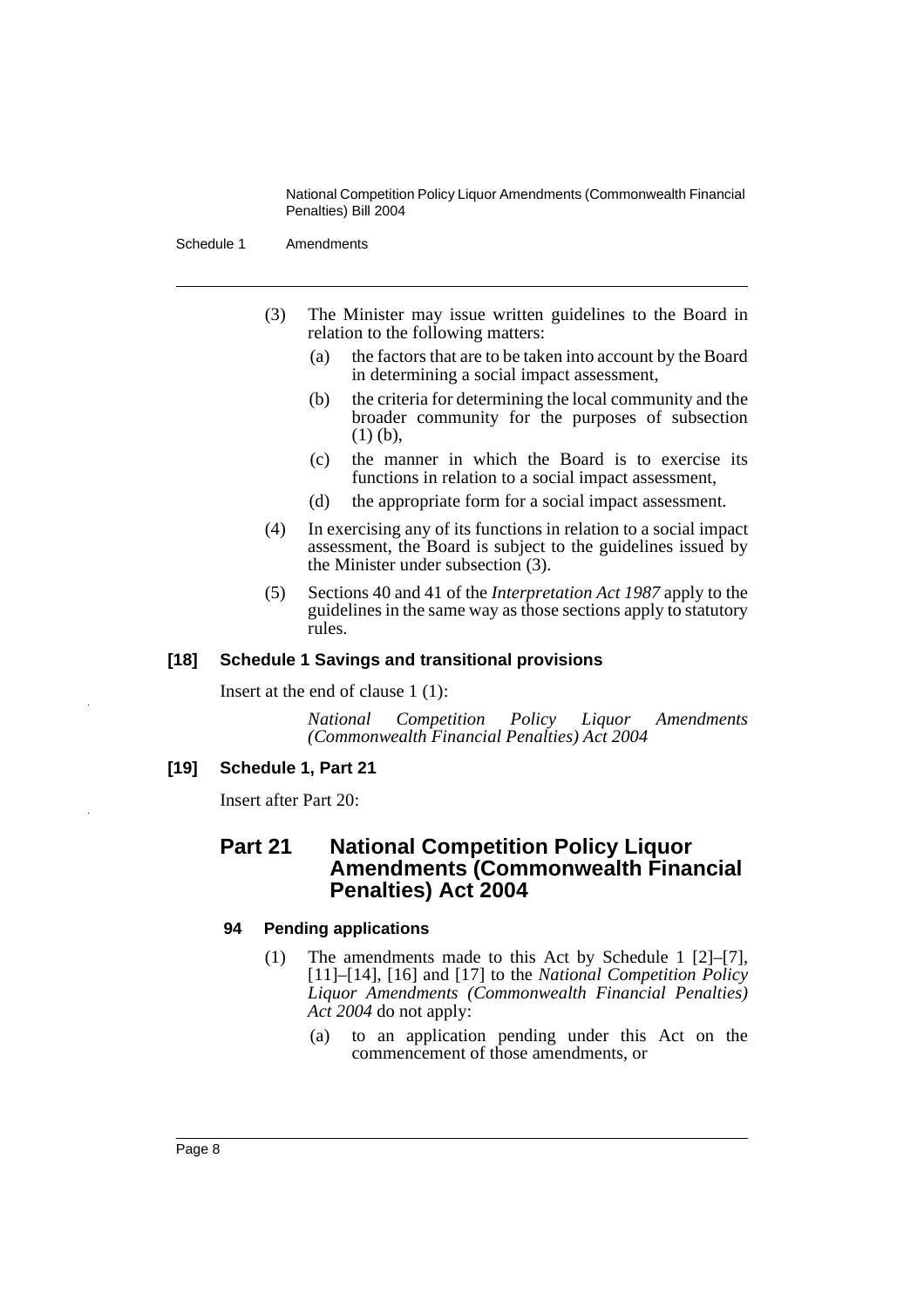Schedule 1 Amendments

- (3) The Minister may issue written guidelines to the Board in relation to the following matters:
	- (a) the factors that are to be taken into account by the Board in determining a social impact assessment,
	- (b) the criteria for determining the local community and the broader community for the purposes of subsection (1) (b),
	- (c) the manner in which the Board is to exercise its functions in relation to a social impact assessment,
	- (d) the appropriate form for a social impact assessment.
- (4) In exercising any of its functions in relation to a social impact assessment, the Board is subject to the guidelines issued by the Minister under subsection (3).
- (5) Sections 40 and 41 of the *Interpretation Act 1987* apply to the guidelines in the same way as those sections apply to statutory rules.

#### **[18] Schedule 1 Savings and transitional provisions**

Insert at the end of clause 1 (1):

*National Competition Policy Liquor Amendments (Commonwealth Financial Penalties) Act 2004*

#### **[19] Schedule 1, Part 21**

Insert after Part 20:

## **Part 21 National Competition Policy Liquor Amendments (Commonwealth Financial Penalties) Act 2004**

#### **94 Pending applications**

- (1) The amendments made to this Act by Schedule 1 [2]–[7], [11]–[14], [16] and [17] to the *National Competition Policy Liquor Amendments (Commonwealth Financial Penalties) Act 2004* do not apply:
	- (a) to an application pending under this Act on the commencement of those amendments, or